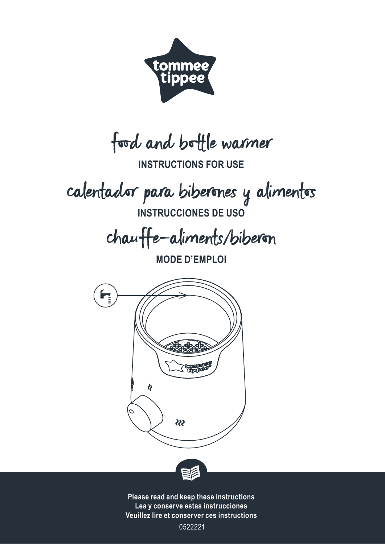

food and bottle warmer

**INSTRUCTIONS FOR USE**

calentador para biberones y alimentos

**INSTRUCCIONES DE USO**

chauffe-aliments/biberon

**MODE D'EMPLOI**





**Please read and keep these instructions Lea y conserve estas instrucciones Veuillez lire et conserver ces instructions**

0522221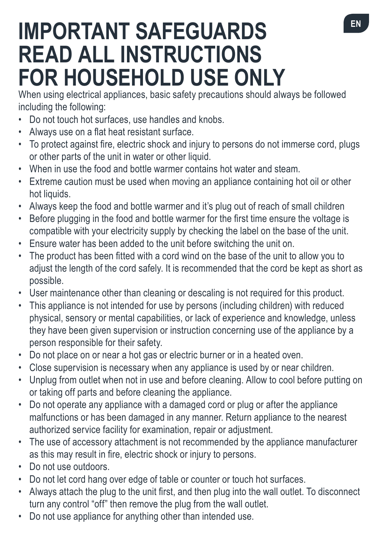# **IMPORTANT SAFEGUARDS READ ALL INSTRUCTIONS FOR HOUSEHOLD USE ONLY**

When using electrical appliances, basic safety precautions should always be followed including the following:

- Do not touch hot surfaces, use handles and knobs.
- • Always use on a flat heat resistant surface.
- To protect against fire, electric shock and injury to persons do not immerse cord, plugs or other parts of the unit in water or other liquid.
- • When in use the food and bottle warmer contains hot water and steam.
- Extreme caution must be used when moving an appliance containing hot oil or other hot liquids.
- Always keep the food and bottle warmer and it's plug out of reach of small children
- Before plugging in the food and bottle warmer for the first time ensure the voltage is compatible with your electricity supply by checking the label on the base of the unit.
- Ensure water has been added to the unit before switching the unit on.
- The product has been fitted with a cord wind on the base of the unit to allow you to adjust the length of the cord safely. It is recommended that the cord be kept as short as possible.
- User maintenance other than cleaning or descaling is not required for this product.
- This appliance is not intended for use by persons (including children) with reduced physical, sensory or mental capabilities, or lack of experience and knowledge, unless they have been given supervision or instruction concerning use of the appliance by a person responsible for their safety.
- Do not place on or near a hot gas or electric burner or in a heated oven.
- Close supervision is necessary when any appliance is used by or near children.
- Unplug from outlet when not in use and before cleaning. Allow to cool before putting on or taking off parts and before cleaning the appliance.
- Do not operate any appliance with a damaged cord or plug or after the appliance malfunctions or has been damaged in any manner. Return appliance to the nearest authorized service facility for examination, repair or adjustment.
- The use of accessory attachment is not recommended by the appliance manufacturer as this may result in fire, electric shock or injury to persons.
- Do not use outdoors.
- Do not let cord hang over edge of table or counter or touch hot surfaces.
- Always attach the plug to the unit first, and then plug into the wall outlet. To disconnect turn any control "off" then remove the plug from the wall outlet.
- Do not use appliance for anything other than intended use.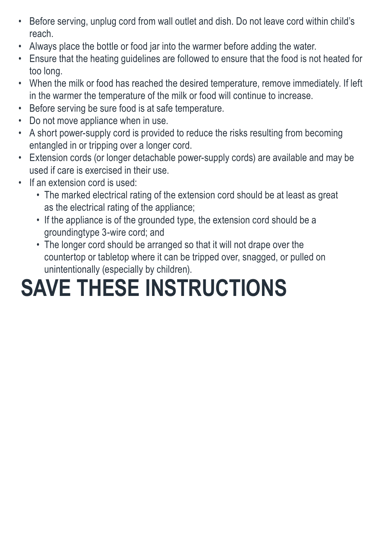- • Before serving, unplug cord from wall outlet and dish. Do not leave cord within child's reach.
- • Always place the bottle or food jar into the warmer before adding the water.
- Ensure that the heating guidelines are followed to ensure that the food is not heated for too long.
- • When the milk or food has reached the desired temperature, remove immediately. If left in the warmer the temperature of the milk or food will continue to increase.
- • Before serving be sure food is at safe temperature.
- Do not move appliance when in use.
- A short power-supply cord is provided to reduce the risks resulting from becoming entangled in or tripping over a longer cord.
- • Extension cords (or longer detachable power-supply cords) are available and may be used if care is exercised in their use.
- If an extension cord is used:
	- The marked electrical rating of the extension cord should be at least as great as the electrical rating of the appliance;
	- If the appliance is of the grounded type, the extension cord should be a groundingtype 3-wire cord; and
	- The longer cord should be arranged so that it will not drape over the countertop or tabletop where it can be tripped over, snagged, or pulled on unintentionally (especially by children).

# **SAVE THESE INSTRUCTIONS**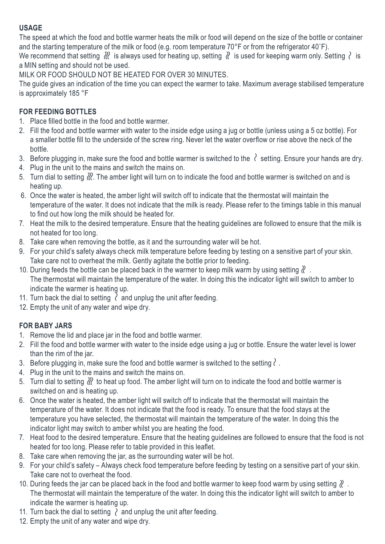#### **USAGE**

The speed at which the food and bottle warmer heats the milk or food will depend on the size of the bottle or container and the starting temperature of the milk or food (e.g. room temperature 70°F or from the refrigerator 40°F).

We recommend that setting  $\frac{1}{2}$  is always used for heating up, setting  $\frac{1}{2}$  is used for keeping warm only. Setting  $\frac{1}{2}$  is a MIN setting and should not be used.

MILK OR FOOD SHOULD NOT BE HEATED FOR OVER 30 MINUTES.

The guide gives an indication of the time you can expect the warmer to take. Maximum average stabilised temperature is approximately 185 °F

## **FOR FEEDING BOTTLES**

- 1. Place filled bottle in the food and bottle warmer.
- 2. Fill the food and bottle warmer with water to the inside edge using a jug or bottle (unless using a 5 oz bottle). For a smaller bottle fill to the underside of the screw ring. Never let the water overflow or rise above the neck of the bottle.
- 3. Before plugging in, make sure the food and bottle warmer is switched to the  $\ell$  setting. Ensure your hands are dry.
- 4. Plug in the unit to the mains and switch the mains on.
- 5. Turn dial to setting . The amber light will turn on to indicate the food and bottle warmer is switched on and is heating up.
- 6. Once the water is heated, the amber light will switch off to indicate that the thermostat will maintain the temperature of the water. It does not indicate that the milk is ready. Please refer to the timings table in this manual to find out how long the milk should be heated for.
- 7. Heat the milk to the desired temperature. Ensure that the heating guidelines are followed to ensure that the milk is not heated for too long.
- 8. Take care when removing the bottle, as it and the surrounding water will be hot.
- 9. For your child's safety always check milk temperature before feeding by testing on a sensitive part of your skin. Take care not to overheat the milk. Gently agitate the bottle prior to feeding.
- 10. During feeds the bottle can be placed back in the warmer to keep milk warm by using setting  $\ell$ . The thermostat will maintain the temperature of the water. In doing this the indicator light will switch to amber to indicate the warmer is heating up.
- 11. Turn back the dial to setting  $\ell$  and unplug the unit after feeding.
- 12. Empty the unit of any water and wipe dry.

## **FOR BABY JARS**

- 1. Remove the lid and place jar in the food and bottle warmer.
- 2. Fill the food and bottle warmer with water to the inside edge using a jug or bottle. Ensure the water level is lower than the rim of the jar.
- 3. Before plugging in, make sure the food and bottle warmer is switched to the setting  $\ell$ .
- 4. Plug in the unit to the mains and switch the mains on.
- 5. Turn dial to setting  $\frac{1}{2}$  to heat up food. The amber light will turn on to indicate the food and bottle warmer is switched on and is heating up.
- 6. Once the water is heated, the amber light will switch off to indicate that the thermostat will maintain the temperature of the water. It does not indicate that the food is ready. To ensure that the food stays at the temperature you have selected, the thermostat will maintain the temperature of the water. In doing this the indicator light may switch to amber whilst you are heating the food.
- 7. Heat food to the desired temperature. Ensure that the heating guidelines are followed to ensure that the food is not heated for too long. Please refer to table provided in this leaflet.
- 8. Take care when removing the jar, as the surrounding water will be hot.
- 9. For your child's safety Always check food temperature before feeding by testing on a sensitive part of your skin. Take care not to overheat the food.
- 10. During feeds the jar can be placed back in the food and bottle warmer to keep food warm by using setting  $\ell$ . The thermostat will maintain the temperature of the water. In doing this the indicator light will switch to amber to indicate the warmer is heating up.
- 11. Turn back the dial to setting  $\lambda$  and unplug the unit after feeding.
- 12. Empty the unit of any water and wipe dry.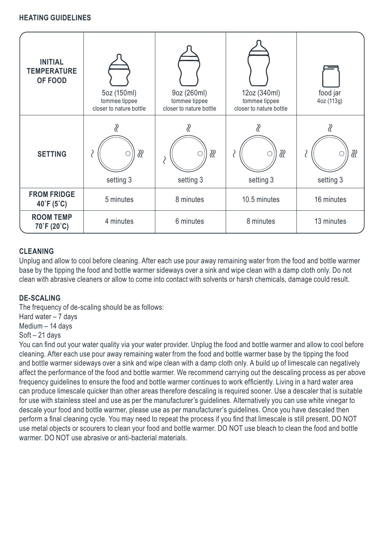#### **HEATING GUIDELINES**

| <b>INITIAL</b><br><b>TEMPERATURE</b><br>OF FOOD | 5oz (150ml)<br>tommee tippee<br>closer to nature bottle | 9oz (260ml)<br>tommee tippee<br>closer to nature bottle | 12oz (340ml)<br>tommee tippee<br>closer to nature bottle | food jar<br>4oz (113g) |
|-------------------------------------------------|---------------------------------------------------------|---------------------------------------------------------|----------------------------------------------------------|------------------------|
| <b>SETTING</b>                                  | ∛<br>setting 3                                          | ℛ<br>setting 3                                          | ∛<br>setting 3                                           | ∛<br>setting 3         |
| <b>FROM FRIDGE</b><br>40°F (5°C)                | 5 minutes                                               | 8 minutes                                               | 10.5 minutes                                             | 16 minutes             |
| <b>ROOM TEMP</b><br>70°F (20°C)                 | 4 minutes                                               | 6 minutes                                               | 8 minutes                                                | 13 minutes             |

#### **CLEANING**

Unplug and allow to cool before cleaning. After each use pour away remaining water from the food and bottle warmer base by the tipping the food and bottle warmer sideways over a sink and wipe clean with a damp cloth only. Do not clean with abrasive cleaners or allow to come into contact with solvents or harsh chemicals, damage could result.

#### **DE-SCALING**

The frequency of de-scaling should be as follows: Hard water – 7 days Medium – 14 days Soft – 21 days

You can find out your water quality via your water provider. Unplug the food and bottle warmer and allow to cool before cleaning. After each use pour away remaining water from the food and bottle warmer base by the tipping the food and bottle warmer sideways over a sink and wipe clean with a damp cloth only. A build up of limescale can negatively affect the performance of the food and bottle warmer. We recommend carrying out the descaling process as per above frequency guidelines to ensure the food and bottle warmer continues to work efficiently. Living in a hard water area can produce limescale quicker than other areas therefore descaling is required sooner. Use a descaler that is suitable for use with stainless steel and use as per the manufacturer's guidelines. Alternatively you can use white vinegar to descale your food and bottle warmer, please use as per manufacturer's guidelines. Once you have descaled then perform a final cleaning cycle. You may need to repeat the process if you find that limescale is still present. DO NOT use metal objects or scourers to clean your food and bottle warmer. DO NOT use bleach to clean the food and bottle warmer. DO NOT use abrasive or anti-bacterial materials.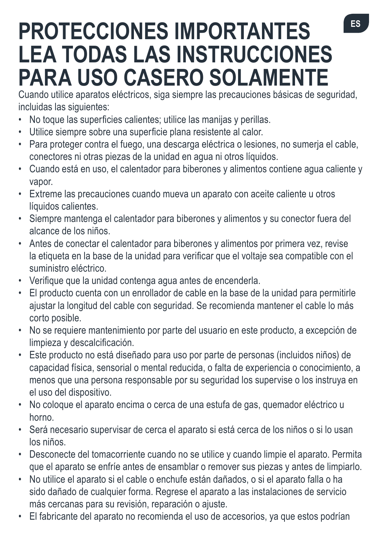# **PROTECCIONES IMPORTANTES LEA TODAS LAS INSTRUCCIONES PARA USO CASERO SOLAMENTE**

Cuando utilice aparatos eléctricos, siga siempre las precauciones básicas de seguridad, incluidas las siguientes:

- No toque las superficies calientes: utilice las manijas y perillas.
- • Utilice siempre sobre una superficie plana resistente al calor.
- • Para proteger contra el fuego, una descarga eléctrica o lesiones, no sumerja el cable, conectores ni otras piezas de la unidad en agua ni otros líquidos.
- • Cuando está en uso, el calentador para biberones y alimentos contiene agua caliente y vapor.
- • Extreme las precauciones cuando mueva un aparato con aceite caliente u otros líquidos calientes.
- • Siempre mantenga el calentador para biberones y alimentos y su conector fuera del alcance de los niños.
- • Antes de conectar el calentador para biberones y alimentos por primera vez, revise la etiqueta en la base de la unidad para verificar que el voltaje sea compatible con el suministro eléctrico.
- • Verifique que la unidad contenga agua antes de encenderla.
- • El producto cuenta con un enrollador de cable en la base de la unidad para permitirle ajustar la longitud del cable con seguridad. Se recomienda mantener el cable lo más corto posible.
- • No se requiere mantenimiento por parte del usuario en este producto, a excepción de limpieza y descalcificación.
- • Este producto no está diseñado para uso por parte de personas (incluidos niños) de capacidad física, sensorial o mental reducida, o falta de experiencia o conocimiento, a menos que una persona responsable por su seguridad los supervise o los instruya en el uso del dispositivo.
- • No coloque el aparato encima o cerca de una estufa de gas, quemador eléctrico u horno.
- • Será necesario supervisar de cerca el aparato si está cerca de los niños o si lo usan los niños.
- • Desconecte del tomacorriente cuando no se utilice y cuando limpie el aparato. Permita que el aparato se enfríe antes de ensamblar o remover sus piezas y antes de limpiarlo.
- • No utilice el aparato si el cable o enchufe están dañados, o si el aparato falla o ha sido dañado de cualquier forma. Regrese el aparato a las instalaciones de servicio más cercanas para su revisión, reparación o ajuste.
- • El fabricante del aparato no recomienda el uso de accesorios, ya que estos podrían

**ES**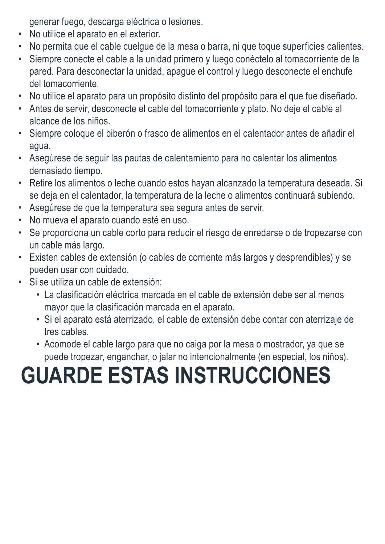generar fuego, descarga eléctrica o lesiones.

- • No utilice el aparato en el exterior.
- • No permita que el cable cuelgue de la mesa o barra, ni que toque superficies calientes.
- • Siempre conecte el cable a la unidad primero y luego conéctelo al tomacorriente de la pared. Para desconectar la unidad, apague el control y luego desconecte el enchufe del tomacorriente.
- • No utilice el aparato para un propósito distinto del propósito para el que fue diseñado.
- • Antes de servir, desconecte el cable del tomacorriente y plato. No deje el cable al alcance de los niños.
- • Siempre coloque el biberón o frasco de alimentos en el calentador antes de añadir el agua.
- • Asegúrese de seguir las pautas de calentamiento para no calentar los alimentos demasiado tiempo.
- • Retire los alimentos o leche cuando estos hayan alcanzado la temperatura deseada. Si se deja en el calentador, la temperatura de la leche o alimentos continuará subiendo.
- • Asegúrese de que la temperatura sea segura antes de servir.
- • No mueva el aparato cuando esté en uso.
- • Se proporciona un cable corto para reducir el riesgo de enredarse o de tropezarse con un cable más largo.
- • Existen cables de extensión (o cables de corriente más largos y desprendibles) y se pueden usar con cuidado.
- • Si se utiliza un cable de extensión:
	- • La clasificación eléctrica marcada en el cable de extensión debe ser al menos mayor que la clasificación marcada en el aparato.
	- • Si el aparato está aterrizado, el cable de extensión debe contar con aterrizaje de tres cables.
	- • Acomode el cable largo para que no caiga por la mesa o mostrador, ya que se puede tropezar, enganchar, o jalar no intencionalmente (en especial, los niños).

# **GUARDE ESTAS INSTRUCCIONES**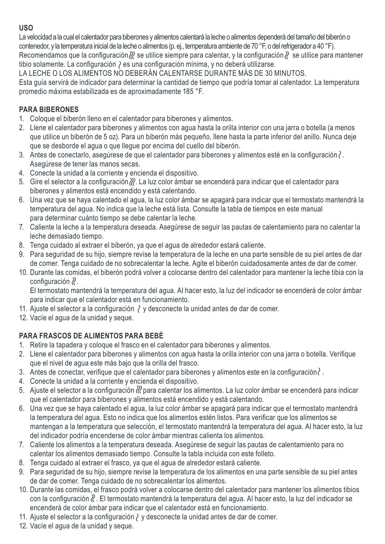### **USO**

La velocidad a la cual el calentador para biberones y alimentos calentará la leche o alimentos dependerá del tamaño del biberón o contenedor, y la temperatura inicial de la leche o alimentos (p. ej., temperatura ambiente de 70 °F, o delrefrigerador a 40 °F). Recomendamos que la configuración  $\aleph$  se utilice siempre para calentar, y la configuración  $\aleph$  se utilice para mantener tibio solamente. La configuración  $\lambda$  es una configuración mínima, y no deberá utilizarse.

LA LECHE O LOS ALIMENTOS NO DEBERÁN CALENTARSE DURANTE MÁS DE 30 MINUTOS.

Esta guía servirá de indicador para determinar la cantidad de tiempo que podría tomar al calentador. La temperatura promedio máxima estabilizada es de aproximadamente 185 °F.

## **PARA BIBERONES**

- 1. Coloque el biberón lleno en el calentador para biberones y alimentos.
- 2. Llene el calentador para biberones y alimentos con agua hasta la orilla interior con una jarra o botella (a menos que utilice un biberón de 5 oz). Para un biberón más pequeño, llene hasta la parte inferior del anillo. Nunca deje que se desborde el agua o que llegue por encima del cuello del biberón.
- 3. Antes de conectarlo, asegúrese de que el calentador para biberones y alimentos esté en la configuración  $\ell$ . Asegúrese de tener las manos secas.
- 4. Conecte la unidad a la corriente y encienda el dispositivo.
- 5. Gire el selector a la configuración  $\mathcal{X}$ . La luz color ámbar se encenderá para indicar que el calentador para biberones y alimentos está encendido y está calentando.
- 6. Una vez que se haya calentado el agua, la luz color ámbar se apagará para indicar que el termostato mantendrá la temperatura del agua. No indica que la leche está lista. Consulte la tabla de tiempos en este manual para determinar cuánto tiempo se debe calentar la leche.
- 7. Caliente la leche a la temperatura deseada. Asegúrese de seguir las pautas de calentamiento para no calentar la leche demasiado tiempo.
- 8. Tenga cuidado al extraer el biberón, ya que el agua de alrededor estará caliente.
- 9. Para seguridad de su hijo, siempre revise la temperatura de la leche en una parte sensible de su piel antes de dar de comer. Tenga cuidado de no sobrecalentar la leche. Agite el biberón cuidadosamente antes de dar de comer.
- 10. Durante las comidas, el biberón podrá volver a colocarse dentro del calentador para mantener la leche tibia con la configuración  $\mathcal{X}$ .

 El termostato mantendrá la temperatura del agua. Al hacer esto, la luz del indicador se encenderá de color ámbar para indicar que el calentador está en funcionamiento.

- 11. Ajuste el selector a la configuración  $\wr$  y desconecte la unidad antes de dar de comer.
- 12. Vacíe el agua de la unidad y seque.

## **PARA FRASCOS DE ALIMENTOS PARA BEBÉ**

- 1. Retire la tapadera y coloque el frasco en el calentador para biberones y alimentos.
- 2. Llene el calentador para biberones y alimentos con agua hasta la orilla interior con una jarra o botella. Verifique que el nivel de agua este más bajo que la orilla del frasco.
- 3. Antes de conectar, verifique que el calentador para biberones y alimentos este en la configuración  $\langle$ .
- 4. Conecte la unidad a la corriente y encienda el dispositivo.
- 5. Ajuste el selector a la configuración  $\mathcal W$  para calentar los alimentos. La luz color ámbar se encenderá para indicar que el calentador para biberones y alimentos está encendido y está calentando.
- 6. Una vez que se haya calentado el agua, la luz color ámbar se apagará para indicar que el termostato mantendrá la temperatura del agua. Esto no indica que los alimentos estén listos. Para verificar que los alimentos se mantengan a la temperatura que selección, el termostato mantendrá la temperatura del agua. Al hacer esto, la luz del indicador podría encenderse de color ámbar mientras calienta los alimentos.
- 7. Caliente los alimentos a la temperatura deseada. Asegúrese de seguir las pautas de calentamiento para no calentar los alimentos demasiado tiempo. Consulte la tabla incluida con este folleto.
- 8. Tenga cuidado al extraer el frasco, ya que el agua de alrededor estará caliente.
- 9. Para seguridad de su hijo, siempre revise la temperatura de los alimentos en una parte sensible de su piel antes de dar de comer. Tenga cuidado de no sobrecalentar los alimentos.
- 10. Durante las comidas, el frasco podrá volver a colocarse dentro del calentador para mantener los alimentos tibios con la configuración  $\ell$ . El termostato mantendrá la temperatura del agua. Al hacer esto, la luz del indicador se encenderá de color ámbar para indicar que el calentador está en funcionamiento.
- 11. Ajuste el selector a la configuración  $\wr$  y desconecte la unidad antes de dar de comer.
- 12. Vacíe el agua de la unidad y seque.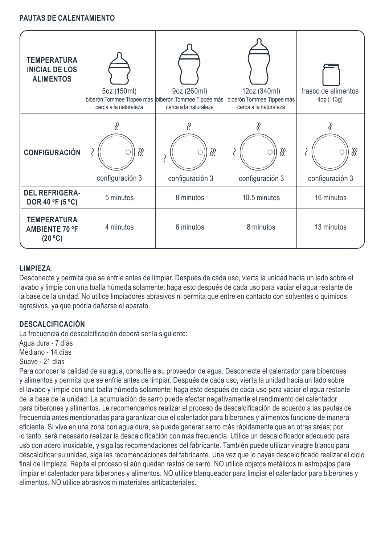#### **PAUTAS DE CALENTAMIENTO**

| <b>TEMPERATURA</b><br><b>INICIAL DE LOS</b><br><b>ALIMENTOS</b> | 5oz (150ml)<br>biberón Tommee Tippee más biberón Tommee Tippee más<br>cerca a la naturaleza | 9oz (260ml)<br>cerca a la naturaleza | 12oz (340ml)<br>biberón Tommee Tippee más<br>cerca a la naturaleza | frasco de alimentos<br>4oz (113g) |
|-----------------------------------------------------------------|---------------------------------------------------------------------------------------------|--------------------------------------|--------------------------------------------------------------------|-----------------------------------|
| <b>CONFIGURACIÓN</b>                                            | ℛ<br>configuración 3                                                                        | ℛ<br>configuración 3                 | ℛ<br>configuración 3                                               | ℛ<br>configuración 3              |
| <b>DEL REFRIGERA-</b><br>DOR 40 °F (5 °C)                       | 5 minutos                                                                                   | 8 minutos                            | 10.5 minutos                                                       | 16 minutos                        |
| <b>TEMPERATURA</b><br><b>AMBIENTE 70 °F</b><br>(20 °C)          | 4 minutos                                                                                   | 6 minutos                            | 8 minutos                                                          | 13 minutos                        |

#### **LIMPIEZA**

Desconecte y permita que se enfríe antes de limpiar. Después de cada uso, vierta la unidad hacia un lado sobre el lavabo y limpie con una toalla húmeda solamente; haga esto después de cada uso para vaciar el agua restante de la base de la unidad. No utilice limpiadores abrasivos ni permita que entre en contacto con solventes o químicos agresivos, ya que podría dañarse el aparato.

#### **DESCALCIFICACIÓN**

La frecuencia de descalcificación deberá ser la siguiente:

Agua dura - 7 días

Mediano - 14 días

Suave - 21 días

Para conocer la calidad de su agua, consulte a su proveedor de agua. Desconecte el calentador para biberones y alimentos y permita que se enfríe antes de limpiar. Después de cada uso, vierta la unidad hacia un lado sobre el lavabo y limpie con una toalla húmeda solamente; haga esto después de cada uso para vaciar el agua restante de la base de la unidad. La acumulación de sarro puede afectar negativamente el rendimiento del calentador para biberones y alimentos. Le recomendamos realizar el proceso de descalcificación de acuerdo a las pautas de frecuencia antes mencionadas para garantizar que el calentador para biberones y alimentos funcione de manera eficiente. Si vive en una zona con agua dura, se puede generar sarro más rápidamente que en otras áreas; por lo tanto, será necesario realizar la descalcificación con más frecuencia. Utilice un descalcificador adecuado para uso con acero inoxidable, y siga las recomendaciones del fabricante. También puede utilizar vinagre blanco para descalcificar su unidad, siga las recomendaciones del fabricante. Una vez que lo hayas descalcificado realizar el ciclo final de limpieza. Repita el proceso si aún quedan restos de sarro. NO utilice objetos metálicos ni estropajos para limpiar el calentador para biberones y alimentos. NO utilice blanqueador para limpiar el calentador para biberones y alimentos. NO utilice abrasivos ni materiales antibacteriales.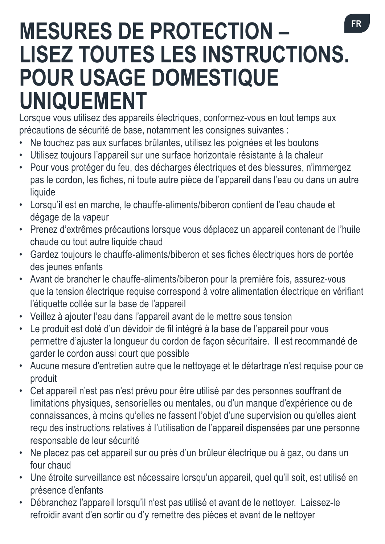# **MESURES DE PROTECTION – LISEZ TOUTES LES INSTRUCTIONS. POUR USAGE DOMESTIQUE UNIQUEMENT**

Lorsque vous utilisez des appareils électriques, conformez-vous en tout temps aux précautions de sécurité de base, notamment les consignes suivantes :

- • Ne touchez pas aux surfaces brûlantes, utilisez les poignées et les boutons
- • Utilisez toujours l'appareil sur une surface horizontale résistante à la chaleur
- • Pour vous protéger du feu, des décharges électriques et des blessures, n'immergez pas le cordon, les fiches, ni toute autre pièce de l'appareil dans l'eau ou dans un autre liquide
- • Lorsqu'il est en marche, le chauffe-aliments/biberon contient de l'eau chaude et dégage de la vapeur
- • Prenez d'extrêmes précautions lorsque vous déplacez un appareil contenant de l'huile chaude ou tout autre liquide chaud
- • Gardez toujours le chauffe-aliments/biberon et ses fiches électriques hors de portée des jeunes enfants
- • Avant de brancher le chauffe-aliments/biberon pour la première fois, assurez-vous que la tension électrique requise correspond à votre alimentation électrique en vérifiant l'étiquette collée sur la base de l'appareil
- • Veillez à ajouter l'eau dans l'appareil avant de le mettre sous tension
- Le produit est doté d'un dévidoir de fil intégré à la base de l'appareil pour vous permettre d'ajuster la longueur du cordon de façon sécuritaire. Il est recommandé de garder le cordon aussi court que possible
- • Aucune mesure d'entretien autre que le nettoyage et le détartrage n'est requise pour ce produit
- • Cet appareil n'est pas n'est prévu pour être utilisé par des personnes souffrant de limitations physiques, sensorielles ou mentales, ou d'un manque d'expérience ou de connaissances, à moins qu'elles ne fassent l'objet d'une supervision ou qu'elles aient reçu des instructions relatives à l'utilisation de l'appareil dispensées par une personne responsable de leur sécurité
- Ne placez pas cet appareil sur ou près d'un brûleur électrique ou à gaz, ou dans un four chaud
- Une étroite surveillance est nécessaire lorsqu'un appareil, quel qu'il soit, est utilisé en présence d'enfants
- • Débranchez l'appareil lorsqu'il n'est pas utilisé et avant de le nettoyer. Laissez-le refroidir avant d'en sortir ou d'y remettre des pièces et avant de le nettoyer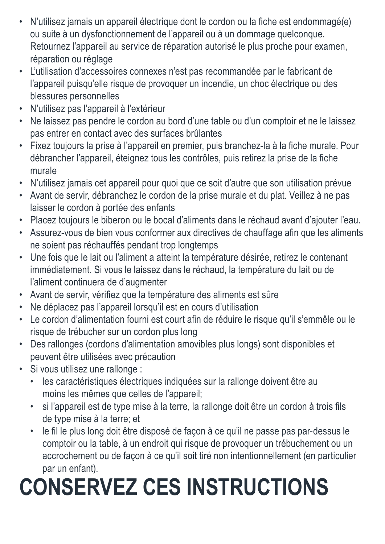- • N'utilisez jamais un appareil électrique dont le cordon ou la fiche est endommagé(e) ou suite à un dysfonctionnement de l'appareil ou à un dommage quelconque. Retournez l'appareil au service de réparation autorisé le plus proche pour examen, réparation ou réglage
- • L'utilisation d'accessoires connexes n'est pas recommandée par le fabricant de l'appareil puisqu'elle risque de provoquer un incendie, un choc électrique ou des blessures personnelles
- • N'utilisez pas l'appareil à l'extérieur
- • Ne laissez pas pendre le cordon au bord d'une table ou d'un comptoir et ne le laissez pas entrer en contact avec des surfaces brûlantes
- • Fixez toujours la prise à l'appareil en premier, puis branchez-la à la fiche murale. Pour débrancher l'appareil, éteignez tous les contrôles, puis retirez la prise de la fiche murale
- • N'utilisez jamais cet appareil pour quoi que ce soit d'autre que son utilisation prévue
- • Avant de servir, débranchez le cordon de la prise murale et du plat. Veillez à ne pas laisser le cordon à portée des enfants
- • Placez toujours le biberon ou le bocal d'aliments dans le réchaud avant d'ajouter l'eau.
- Assurez-vous de bien vous conformer aux directives de chauffage afin que les aliments ne soient pas réchauffés pendant trop longtemps
- • Une fois que le lait ou l'aliment a atteint la température désirée, retirez le contenant immédiatement. Si vous le laissez dans le réchaud, la température du lait ou de l'aliment continuera de d'augmenter
- • Avant de servir, vérifiez que la température des aliments est sûre
- • Ne déplacez pas l'appareil lorsqu'il est en cours d'utilisation
- • Le cordon d'alimentation fourni est court afin de réduire le risque qu'il s'emmêle ou le risque de trébucher sur un cordon plus long
- • Des rallonges (cordons d'alimentation amovibles plus longs) sont disponibles et peuvent être utilisées avec précaution
- Si vous utilisez une rallonge :
	- • les caractéristiques électriques indiquées sur la rallonge doivent être au moins les mêmes que celles de l'appareil;
	- • si l'appareil est de type mise à la terre, la rallonge doit être un cordon à trois fils de type mise à la terre; et
	- • le fil le plus long doit être disposé de façon à ce qu'il ne passe pas par-dessus le comptoir ou la table, à un endroit qui risque de provoquer un trébuchement ou un accrochement ou de façon à ce qu'il soit tiré non intentionnellement (en particulier par un enfant).

# **CONSERVEZ CES INSTRUCTIONS**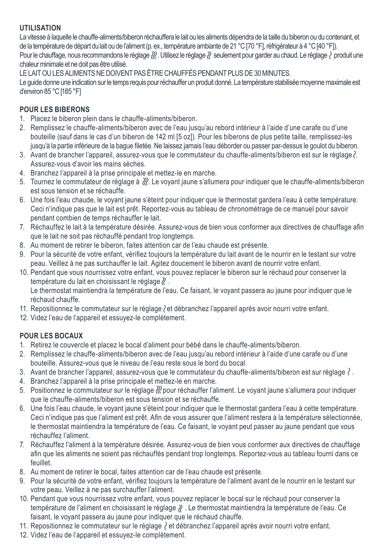#### **UTILISATION**

La vitesse à laquelle le chauffe-aliments/biberon réchauffera le lait ou les aliments dépendra de la taille du biberon ou du contenant, et de la température de départ du lait ou de l'aliment (p. ex., température ambiante de 21 °C [70 °F], réfrigérateur à 4 °C [40 °F]). Pour le chauffage, nous recommandons le réglage  $\mathbb{Z}$ . Utilisez le réglage  $\mathbb{Z}$  seulement pour garder au chaud. Le réglage  $\mathbb{Z}$  produit une chaleurminimale et ne doit pas être utilisé.

LE LAIT OU LES ALIMENTS NE DOIVENT PAS ÊTRE CHAUFFÉS PENDANT PLUS DE 30 MINUTES.

Le guide donne une indication surle temps requis pourréchauffer un produit donné. La température stabiliséemoyennemaximale est d'environ 85 °C [185 °F]

### **POUR LES BIBERONS**

- 1. Placez le biberon plein dans le chauffe-aliments/biberon.
- 2. Remplissez le chauffe-aliments/biberon avec de l'eau jusqu'au rebord intérieur à l'aide d'une carafe ou d'une bouteille (sauf dans le cas d'un biberon de 142 ml [5 oz]). Pour les biberons de plus petite taille, remplissez-les jusqu'à la partie inférieure de la bague filetée. Ne laissez jamais l'eau déborder ou passer par-dessus le goulot du biberon.
- 3. Avant de brancher l'appareil, assurez-vous que le commutateur du chauffe-aliments/biberon est sur le réglage  $\lambda$  Assurez-vous d'avoir les mains sèches.
- 4. Branchez l'appareil à la prise principale et mettez-le en marche.
- 5. Tournez le commutateur de réglage à  $\chi$ . Le voyant jaune s'allumera pour indiquer que le chauffe-aliments/biberon est sous tension et se réchauffe.
- 6. Une fois l'eau chaude, le voyant jaune s'éteint pour indiquer que le thermostat gardera l'eau à cette température. Ceci n'indique pas que le lait est prêt. Reportez-vous au tableau de chronométrage de ce manuel pour savoir pendant combien de temps réchauffer le lait.
- 7. Réchauffez le lait à la température désirée. Assurez-vous de bien vous conformer aux directives de chauffage afin que le lait ne soit pas réchauffé pendant trop longtemps.
- 8. Au moment de retirer le biberon, faites attention car de l'eau chaude est présente.
- 9. Pour la sécurité de votre enfant, vérifiez toujours la température du lait avant de le nourrir en le testant sur votre peau. Veillez à ne pas surchauffer le lait. Agitez doucement le biberon avant de nourrir votre enfant.
- 10. Pendant que vous nourrissez votre enfant, vous pouvez replacer le biberon sur le réchaud pour conserver la température du lait en choisissant le réglage  $\ell$ .

 Le thermostat maintiendra la température de l'eau. Ce faisant, le voyant passera au jaune pour indiquer que le réchaud chauffe.

- 11. Repositionnez le commutateur sur le réglage *èt débranchez l'appareil après avoir nourri votre enfant*.
- 12. Videz l'eau de l'appareil et essuyez-le complètement.

### **POUR LES BOCAUX**

- 1. Retirez le couvercle et placez le bocal d'aliment pour bébé dans le chauffe-aliments/biberon.
- 2. Remplissez le chauffe-aliments/biberon avec de l'eau jusqu'au rebord intérieur à l'aide d'une carafe ou d'une bouteille. Assurez-vous que le niveau de l'eau reste sous le bord du bocal.
- 3. Avant de brancher l'appareil, assurez-vous que le commutateur du chauffe-aliments/biberon est sur réglage  $\langle$ .
- 4. Branchez l'appareil à la prise principale et mettez-le en marche.
- 5. Positionnez le commutateur sur le réglage *il* pour réchauffer l'aliment. Le voyant jaune s'allumera pour indiquer que le chauffe-aliments/biberon est sous tension et se réchauffe.
- 6. Une fois l'eau chaude, le voyant jaune s'éteint pour indiquer que le thermostat gardera l'eau à cette température. Ceci n'indique pas que l'aliment est prêt. Afin de vous assurer que l'aliment restera à la température sélectionnée, le thermostat maintiendra la température de l'eau. Ce faisant, le voyant peut passer au jaune pendant que vous réchauffez l'aliment.
- 7. Réchauffez l'aliment à la température désirée. Assurez-vous de bien vous conformer aux directives de chauffage afin que les aliments ne soient pas réchauffés pendant trop longtemps. Reportez-vous au tableau fourni dans ce feuillet.
- 8. Au moment de retirer le bocal, faites attention car de l'eau chaude est présente.
- 9. Pour la sécurité de votre enfant, vérifiez toujours la température de l'aliment avant de le nourrir en le testant sur votre peau. Veillez à ne pas surchauffer l'aliment.
- 10. Pendant que vous nourrissez votre enfant, vous pouvez replacer le bocal sur le réchaud pour conserver la température de l'aliment en choisissant le réglage  $\aleph$ . Le thermostat maintiendra la température de l'eau. Ce faisant, le voyant passera au jaune pour indiquer que le réchaud chauffe.
- 11. Repositionnez le commutateur sur le réglage  $\wr$  et débranchez l'appareil après avoir nourri votre enfant.
- 12. Videz l'eau de l'appareil et essuyez-le complètement.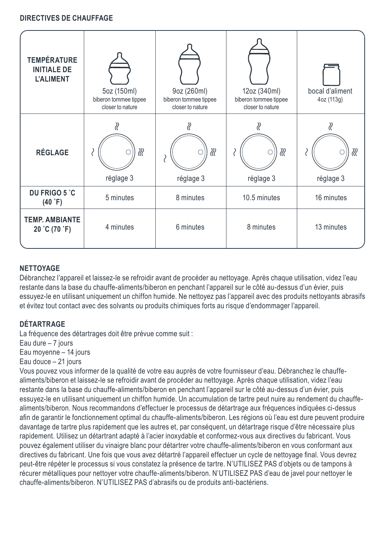#### **DIRECTIVES DE CHAUFFAGE**

| <b>TEMPÉRATURE</b><br><b>INITIALE DE</b><br><b>L'ALIMENT</b> | 5oz (150ml)<br>biberon tommee tippee<br>closer to nature | 9oz (260ml)<br>biberon tommee tippee<br>closer to nature | 12oz (340ml)<br>biberon tommee tippee<br>closer to nature | bocal d'aliment<br>4oz (113g) |
|--------------------------------------------------------------|----------------------------------------------------------|----------------------------------------------------------|-----------------------------------------------------------|-------------------------------|
| RÉGLAGE                                                      | ∛<br>ℛ<br>réglage 3                                      | ∛<br>ℛ<br>réglage 3                                      | ∛<br>ℛ<br>réglage 3                                       | ∛<br>ℛ<br>réglage 3           |
| DU FRIGO 5 °C<br>$(40 \degree F)$                            | 5 minutes                                                | 8 minutes                                                | 10.5 minutes                                              | 16 minutes                    |
| <b>TEMP, AMBIANTE</b><br>20 °C (70 °F)                       | 4 minutes                                                | 6 minutes                                                | 8 minutes                                                 | 13 minutes                    |

#### **NETTOYAGE**

Débranchez l'appareil et laissez-le se refroidir avant de procéder au nettoyage. Après chaque utilisation, videz l'eau restante dans la base du chauffe-aliments/biberon en penchant l'appareil sur le côté au-dessus d'un évier, puis essuyez-le en utilisant uniquement un chiffon humide. Ne nettoyez pas l'appareil avec des produits nettoyants abrasifs et évitez tout contact avec des solvants ou produits chimiques forts au risque d'endommager l'appareil.

#### **DÉTARTRAGE**

La fréquence des détartrages doit être prévue comme suit :

Eau dure – 7 jours

Eau moyenne – 14 jours

Eau douce – 21 jours

Vous pouvez vous informer de la qualité de votre eau auprès de votre fournisseur d'eau. Débranchez le chauffealiments/biberon et laissez-le se refroidir avant de procéder au nettoyage. Après chaque utilisation, videz l'eau restante dans la base du chauffe-aliments/biberon en penchant l'appareil sur le côté au-dessus d'un évier, puis essuyez-le en utilisant uniquement un chiffon humide. Un accumulation de tartre peut nuire au rendement du chauffealiments/biberon. Nous recommandons d'effectuer le processus de détartrage aux fréquences indiquées ci-dessus afin de garantir le fonctionnement optimal du chauffe-aliments/biberon. Les régions où l'eau est dure peuvent produire davantage de tartre plus rapidement que les autres et, par conséquent, un détartrage risque d'être nécessaire plus rapidement. Utilisez un détartrant adapté à l'acier inoxydable et conformez-vous aux directives du fabricant. Vous pouvez également utiliser du vinaigre blanc pour détartrer votre chauffe-aliments/biberon en vous conformant aux directives du fabricant. Une fois que vous avez détartré l'appareil effectuer un cycle de nettoyage final. Vous devrez peut-être répéter le processus si vous constatez la présence de tartre. N'UTILISEZ PAS d'objets ou de tampons à récurer métalliques pour nettoyer votre chauffe-aliments/biberon. N'UTILISEZ PAS d'eau de javel pour nettoyer le chauffe-aliments/biberon. N'UTILISEZ PAS d'abrasifs ou de produits anti-bactériens.